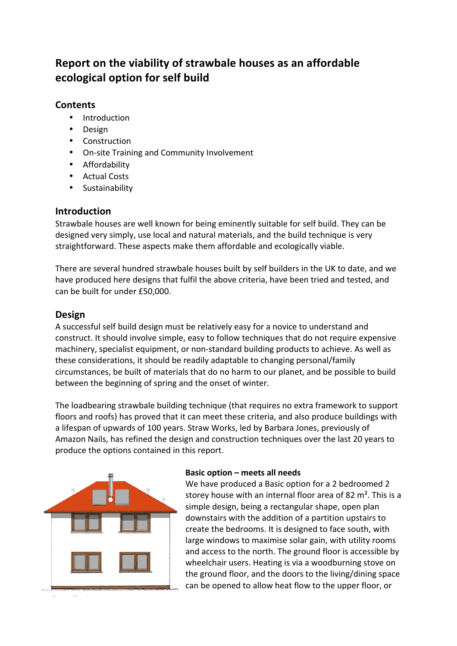# **Report on the viability of strawbale houses as an affordable ecological option for self build**

# **Contents**

- Introduction
- Design
- Construction
- On-site Training and Community Involvement
- Affordability
- Actual Costs
- **Sustainability**

# **Introduction**

Strawbale houses are well known for being eminently suitable for self build. They can be designed very simply, use local and natural materials, and the build technique is very straightforward. These aspects make them affordable and ecologically viable.

There are several hundred strawbale houses built by self builders in the UK to date, and we have produced here designs that fulfil the above criteria, have been tried and tested, and can be built for under £50,000.

# **Design**

A successful self build design must be relatively easy for a novice to understand and construct. It should involve simple, easy to follow techniques that do not require expensive machinery, specialist equipment, or non-standard building products to achieve. As well as these considerations, it should be readily adaptable to changing personal/family circumstances, be built of materials that do no harm to our planet, and be possible to build between the beginning of spring and the onset of winter.

The loadbearing strawbale building technique (that requires no extra framework to support floors and roofs) has proved that it can meet these criteria, and also produce buildings with a lifespan of upwards of 100 years. Straw Works, led by Barbara Jones, previously of Amazon Nails, has refined the design and construction techniques over the last 20 years to produce the options contained in this report.



## **Basic option – meets all needs**

We have produced a Basic option for a 2 bedroomed 2 storey house with an internal floor area of 82  $m<sup>2</sup>$ . This is a simple design, being a rectangular shape, open plan downstairs with the addition of a partition upstairs to create the bedrooms. It is designed to face south, with large windows to maximise solar gain, with utility rooms and access to the north. The ground floor is accessible by wheelchair users. Heating is via a woodburning stove on the ground floor, and the doors to the living/dining space can be opened to allow heat flow to the upper floor, or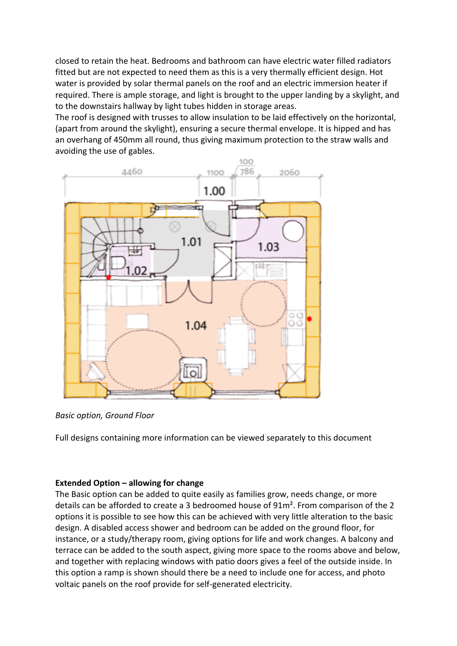closed to retain the heat. Bedrooms and bathroom can have electric water filled radiators fitted but are not expected to need them as this is a very thermally efficient design. Hot water is provided by solar thermal panels on the roof and an electric immersion heater if required. There is ample storage, and light is brought to the upper landing by a skylight, and to the downstairs hallway by light tubes hidden in storage areas.

The roof is designed with trusses to allow insulation to be laid effectively on the horizontal, (apart from around the skylight), ensuring a secure thermal envelope. It is hipped and has an overhang of 450mm all round, thus giving maximum protection to the straw walls and avoiding the use of gables.



*Basic option, Ground Floor*

Full designs containing more information can be viewed separately to this document

# **Extended Option – allowing for change**

The Basic option can be added to quite easily as families grow, needs change, or more details can be afforded to create a 3 bedroomed house of 91m<sup>2</sup>. From comparison of the 2 options it is possible to see how this can be achieved with very little alteration to the basic design. A disabled access shower and bedroom can be added on the ground floor, for instance, or a study/therapy room, giving options for life and work changes. A balcony and terrace can be added to the south aspect, giving more space to the rooms above and below, and together with replacing windows with patio doors gives a feel of the outside inside. In this option a ramp is shown should there be a need to include one for access, and photo voltaic panels on the roof provide for self-generated electricity.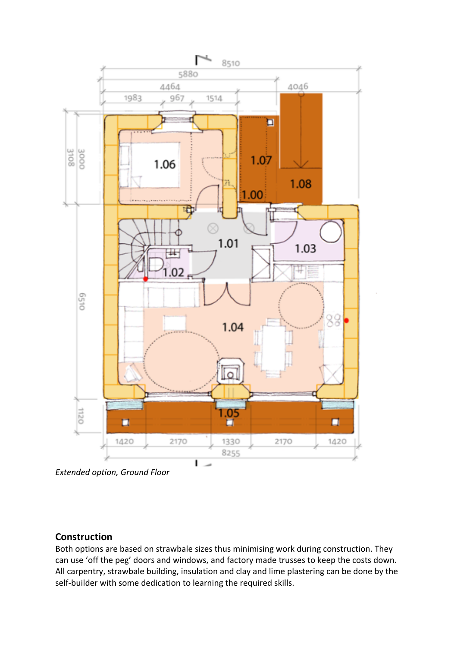

*Extended option, Ground Floor*

# **Construction**

Both options are based on strawbale sizes thus minimising work during construction. They can use 'off the peg' doors and windows, and factory made trusses to keep the costs down. All carpentry, strawbale building, insulation and clay and lime plastering can be done by the self-builder with some dedication to learning the required skills.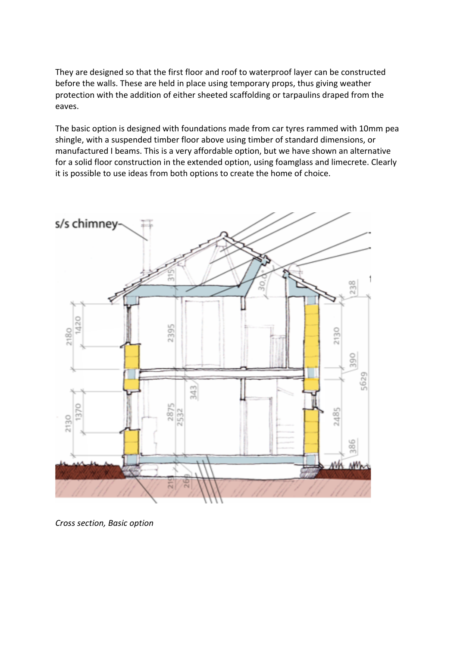They are designed so that the first floor and roof to waterproof layer can be constructed before the walls. These are held in place using temporary props, thus giving weather protection with the addition of either sheeted scaffolding or tarpaulins draped from the eaves.

The basic option is designed with foundations made from car tyres rammed with 10mm pea shingle, with a suspended timber floor above using timber of standard dimensions, or manufactured I beams. This is a very affordable option, but we have shown an alternative for a solid floor construction in the extended option, using foamglass and limecrete. Clearly it is possible to use ideas from both options to create the home of choice.



*Cross section, Basic option*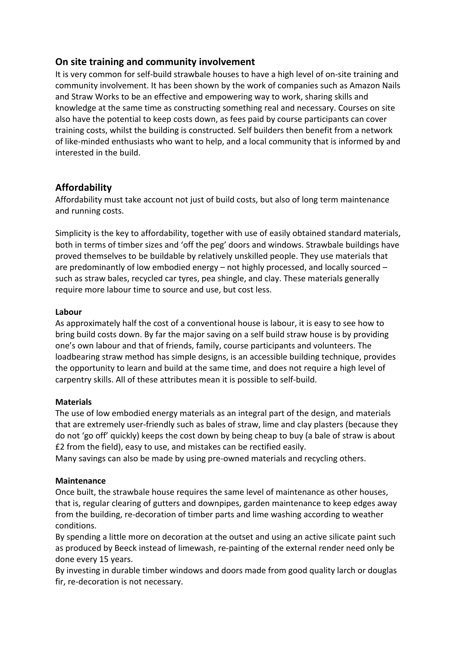# **On site training and community involvement**

It is very common for self-build strawbale houses to have a high level of on-site training and community involvement. It has been shown by the work of companies such as Amazon Nails and Straw Works to be an effective and empowering way to work, sharing skills and knowledge at the same time as constructing something real and necessary. Courses on site also have the potential to keep costs down, as fees paid by course participants can cover training costs, whilst the building is constructed. Self builders then benefit from a network of like-minded enthusiasts who want to help, and a local community that is informed by and interested in the build.

# **Affordability**

Affordability must take account not just of build costs, but also of long term maintenance and running costs.

Simplicity is the key to affordability, together with use of easily obtained standard materials, both in terms of timber sizes and 'off the peg' doors and windows. Strawbale buildings have proved themselves to be buildable by relatively unskilled people. They use materials that are predominantly of low embodied energy  $-$  not highly processed, and locally sourced  $$ such as straw bales, recycled car tyres, pea shingle, and clay. These materials generally require more labour time to source and use, but cost less.

#### **Labour**

As approximately half the cost of a conventional house is labour, it is easy to see how to bring build costs down. By far the major saving on a self build straw house is by providing one's own labour and that of friends, family, course participants and volunteers. The loadbearing straw method has simple designs, is an accessible building technique, provides the opportunity to learn and build at the same time, and does not require a high level of carpentry skills. All of these attributes mean it is possible to self-build.

#### **Materials**

The use of low embodied energy materials as an integral part of the design, and materials that are extremely user-friendly such as bales of straw, lime and clay plasters (because they do not 'go off' quickly) keeps the cost down by being cheap to buy (a bale of straw is about E2 from the field), easy to use, and mistakes can be rectified easily.

Many savings can also be made by using pre-owned materials and recycling others.

#### **Maintenance**

Once built, the strawbale house requires the same level of maintenance as other houses, that is, regular clearing of gutters and downpipes, garden maintenance to keep edges away from the building, re-decoration of timber parts and lime washing according to weather conditions.

By spending a little more on decoration at the outset and using an active silicate paint such as produced by Beeck instead of limewash, re-painting of the external render need only be done every 15 years.

By investing in durable timber windows and doors made from good quality larch or douglas fir, re-decoration is not necessary.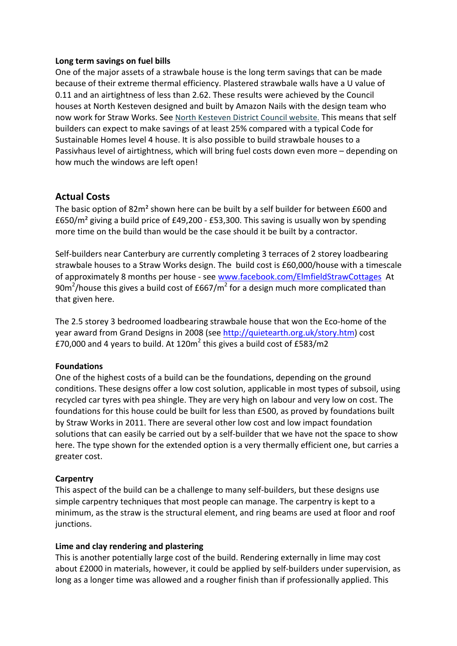#### Long term savings on fuel bills

One of the major assets of a strawbale house is the long term savings that can be made because of their extreme thermal efficiency. Plastered strawbale walls have a U value of 0.11 and an airtightness of less than 2.62. These results were achieved by the Council houses at North Kesteven designed and built by Amazon Nails with the design team who now work for Straw Works. See North Kesteven District Council website. This means that self builders can expect to make savings of at least 25% compared with a typical Code for Sustainable Homes level 4 house. It is also possible to build strawbale houses to a Passivhaus level of airtightness, which will bring fuel costs down even more - depending on how much the windows are left open!

# **Actual Costs**

The basic option of  $82m<sup>2</sup>$  shown here can be built by a self builder for between £600 and £650/m<sup>2</sup> giving a build price of £49,200 - £53,300. This saving is usually won by spending more time on the build than would be the case should it be built by a contractor.

Self-builders near Canterbury are currently completing 3 terraces of 2 storey loadbearing strawbale houses to a Straw Works design. The build cost is £60,000/house with a timescale of approximately 8 months per house - see www.facebook.com/ElmfieldStrawCottages At 90m<sup>2</sup>/house this gives a build cost of £667/m<sup>2</sup> for a design much more complicated than that given here.

The 2.5 storey 3 bedroomed loadbearing strawbale house that won the Eco-home of the year award from Grand Designs in 2008 (see http://quietearth.org.uk/story.htm) cost £70,000 and 4 years to build. At 120 $m^2$  this gives a build cost of £583/m2

## **Foundations**

One of the highest costs of a build can be the foundations, depending on the ground conditions. These designs offer a low cost solution, applicable in most types of subsoil, using recycled car tyres with pea shingle. They are very high on labour and very low on cost. The foundations for this house could be built for less than £500, as proved by foundations built by Straw Works in 2011. There are several other low cost and low impact foundation solutions that can easily be carried out by a self-builder that we have not the space to show here. The type shown for the extended option is a very thermally efficient one, but carries a greater cost.

## **Carpentry**

This aspect of the build can be a challenge to many self-builders, but these designs use simple carpentry techniques that most people can manage. The carpentry is kept to a minimum, as the straw is the structural element, and ring beams are used at floor and roof junctions.

## Lime and clay rendering and plastering

This is another potentially large cost of the build. Rendering externally in lime may cost about £2000 in materials, however, it could be applied by self-builders under supervision, as long as a longer time was allowed and a rougher finish than if professionally applied. This